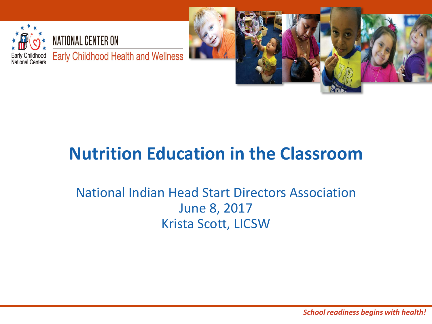



#### **Nutrition Education in the Classroom**

#### National Indian Head Start Directors Association June 8, 2017 Krista Scott, LICSW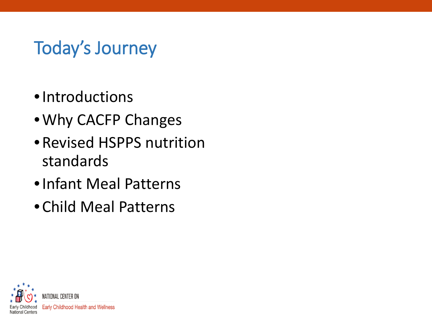#### Today's Journey

- •Introductions
- •Why CACFP Changes
- •Revised HSPPS nutrition standards
- •Infant Meal Patterns
- Child Meal Patterns

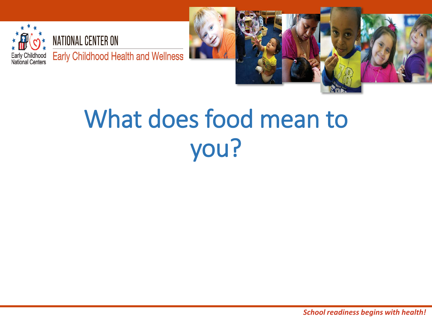



## What does food mean to you?

*School readiness begins with health!*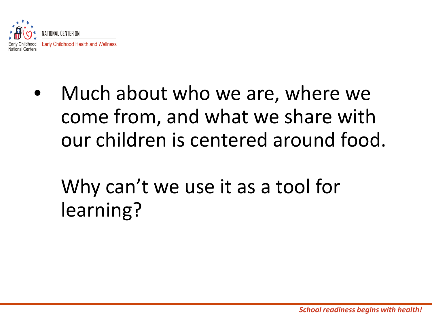

- Much about who we are, where we come from, and what we share with our children is centered around food.
	- Why can't we use it as a tool for learning?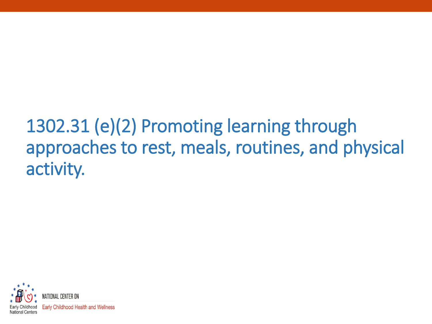#### 1302.31 (e)(2) Promoting learning through approaches to rest, meals, routines, and physical activity.

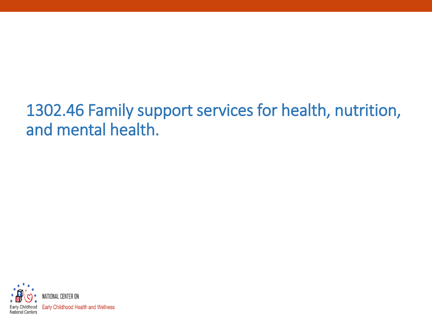#### 1302.46 Family support services for health, nutrition, and mental health.

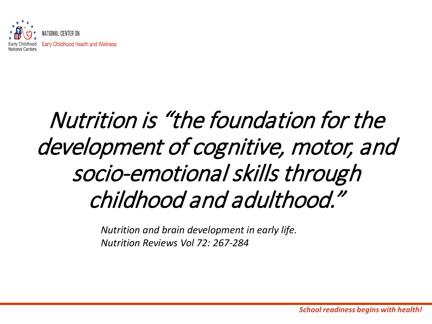

### Nutrition is "the foundation for the development of cognitive, motor, and socio-emotional skills through childhood and adulthood."

*Nutrition and brain development in early life. Nutrition Reviews Vol 72: 267-284*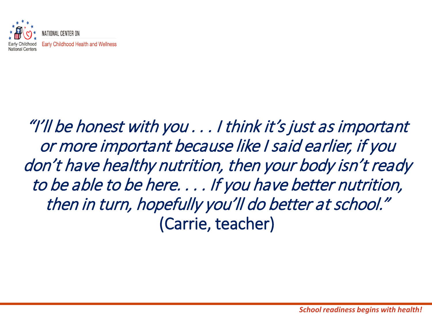

#### "I'll be honest with you . . . I think it's just as important or more important because like I said earlier, if you don't have healthy nutrition, then your body isn't ready to be able to be here. . . . If you have better nutrition, then in turn, hopefully you'll do better at school." (Carrie, teacher)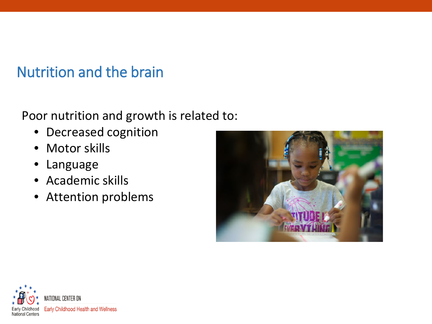Nutrition and the brain

#### Poor nutrition and growth is related to:

- Decreased cognition
- Motor skills
- Language
- Academic skills
- Attention problems



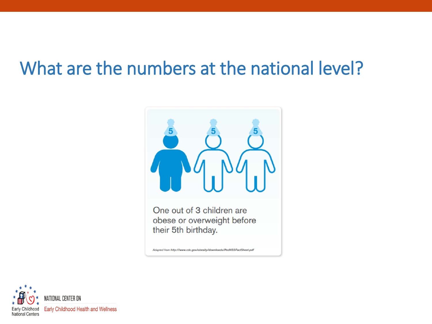#### What are the numbers at the national level?



One out of 3 children are obese or overweight before their 5th birthday.

Adapted from http://www.cdc.gov/obesity/downloads/PedNSSFactSheet.pdf

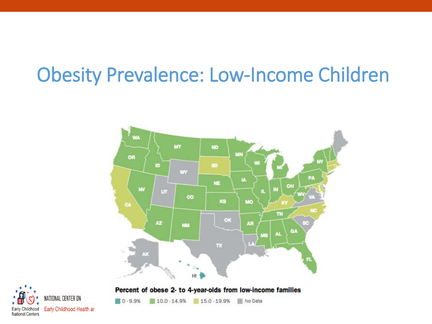### Obesity Prevalence: Low-Income Children



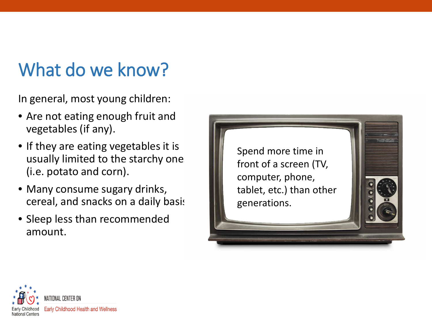#### What do we know?

In general, most young children:

- Are not eating enough fruit and vegetables (if any).
- If they are eating vegetables it is usually limited to the starchy one (i.e. potato and corn).
- Many consume sugary drinks, cereal, and snacks on a daily basis
- Sleep less than recommended amount.



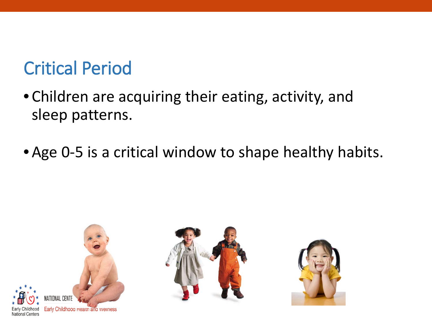#### Critical Period

- Children are acquiring their eating, activity, and sleep patterns.
- •Age 0-5 is a critical window to shape healthy habits.

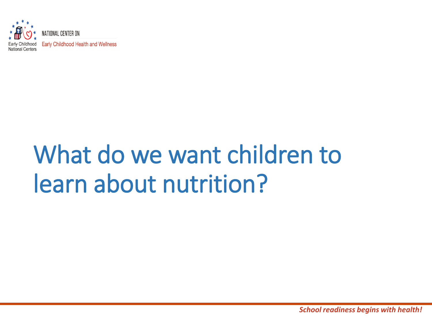

# What do we want children to learn about nutrition?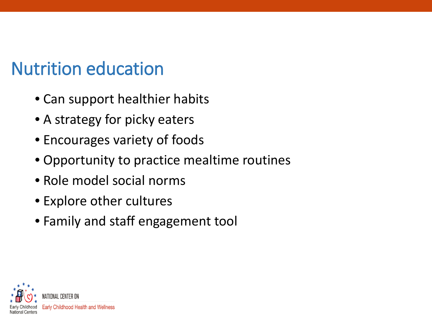#### Nutrition education

- Can support healthier habits
- A strategy for picky eaters
- Encourages variety of foods
- Opportunity to practice mealtime routines
- Role model social norms
- Explore other cultures
- Family and staff engagement tool

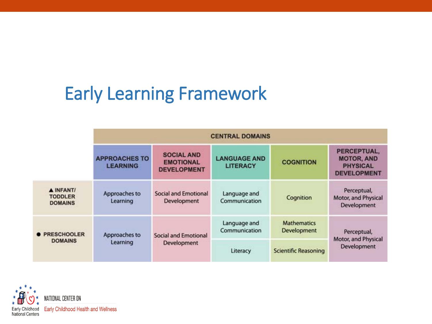#### Early Learning Framework

|                                               | <b>CENTRAL DOMAINS</b>                  |                                                             |                                        |                                   |                                                                           |
|-----------------------------------------------|-----------------------------------------|-------------------------------------------------------------|----------------------------------------|-----------------------------------|---------------------------------------------------------------------------|
|                                               | <b>APPROACHES TO</b><br><b>LEARNING</b> | <b>SOCIAL AND</b><br><b>EMOTIONAL</b><br><b>DEVELOPMENT</b> | <b>LANGUAGE AND</b><br><b>LITERACY</b> | <b>COGNITION</b>                  | PERCEPTUAL,<br><b>MOTOR, AND</b><br><b>PHYSICAL</b><br><b>DEVELOPMENT</b> |
| A INFANT/<br><b>TODDLER</b><br><b>DOMAINS</b> | Approaches to<br>Learning               | Social and Emotional<br>Development                         | Language and<br>Communication          | Cognition                         | Perceptual,<br>Motor, and Physical<br>Development                         |
| <b>• PRESCHOOLER</b><br><b>DOMAINS</b>        | Approaches to<br>Learning               | <b>Social and Emotional</b><br>Development                  | Language and<br>Communication          | <b>Mathematics</b><br>Development | Perceptual,<br>Motor, and Physical<br>Development                         |
|                                               |                                         |                                                             | Literacy                               | <b>Scientific Reasoning</b>       |                                                                           |

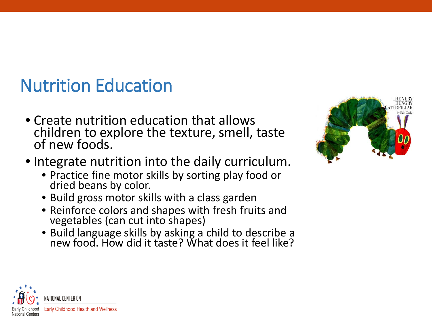#### Nutrition Education

- Create nutrition education that allows children to explore the texture, smell, taste of new foods.
- Integrate nutrition into the daily curriculum.
	- Practice fine motor skills by sorting play food or dried beans by color.
	- Build gross motor skills with a class garden
	- Reinforce colors and shapes with fresh fruits and vegetables (can cut into shapes)
	- Build language skills by asking a child to describe a new food. How did it taste? What does it feel like?



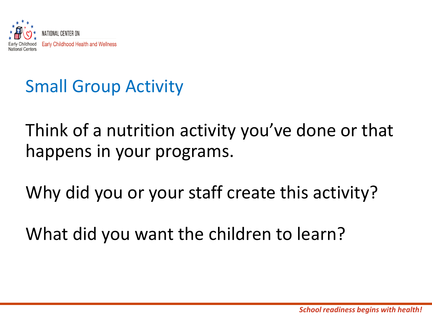

#### Small Group Activity

Think of a nutrition activity you've done or that happens in your programs.

Why did you or your staff create this activity?

What did you want the children to learn?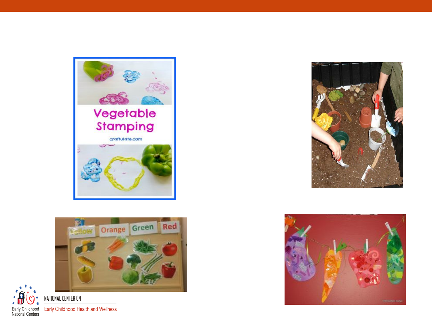







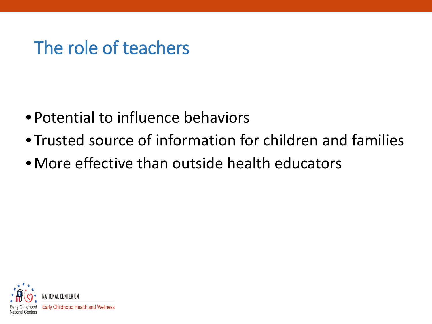#### The role of teachers

- Potential to influence behaviors
- Trusted source of information for children and families
- •More effective than outside health educators

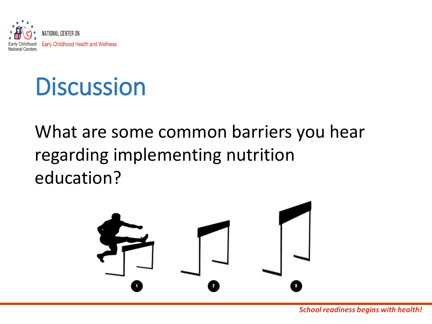

### **Discussion**

What are some common barriers you hear regarding implementing nutrition education?

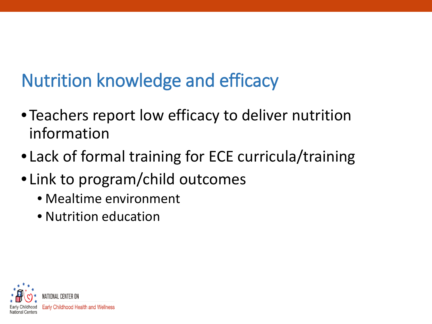### Nutrition knowledge and efficacy

- Teachers report low efficacy to deliver nutrition information
- Lack of formal training for ECE curricula/training
- Link to program/child outcomes
	- Mealtime environment
	- Nutrition education

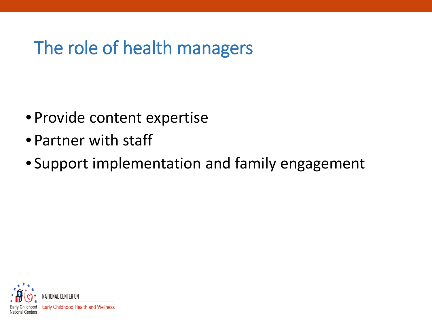#### The role of health managers

- Provide content expertise
- Partner with staff
- Support implementation and family engagement

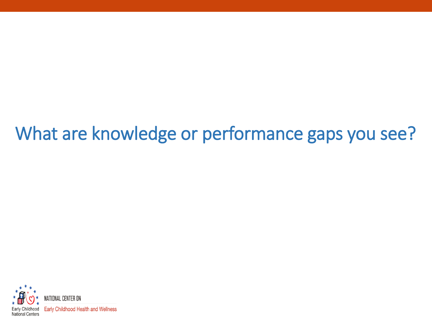#### What are knowledge or performance gaps you see?

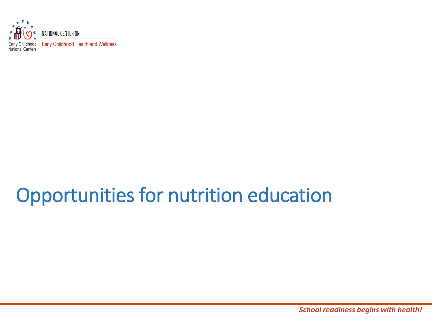

#### Opportunities for nutrition education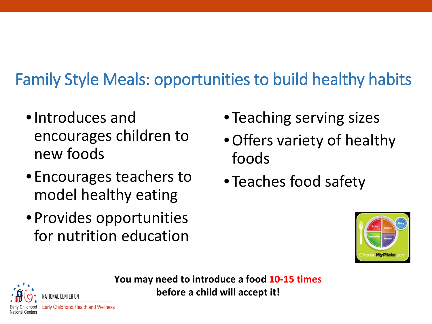#### Family Style Meals: opportunities to build healthy habits

- •Introduces and encourages children to new foods
- Encourages teachers to model healthy eating
- Provides opportunities for nutrition education
- Teaching serving sizes
- •Offers variety of healthy foods
- Teaches food safety





**You may need to introduce a food 10-15 times before a child will accept it!**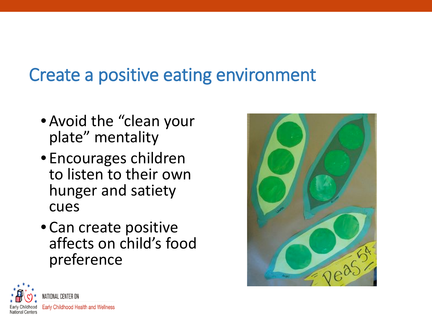#### Create a positive eating environment

- •Avoid the "clean your plate" mentality
- Encourages children to listen to their own hunger and satiety cues
- Can create positive affects on child's food preference



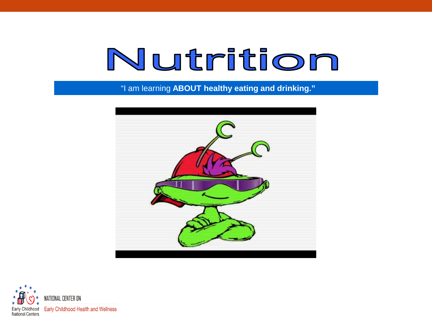# Nutrition

"I am learning **ABOUT healthy eating and drinking."**



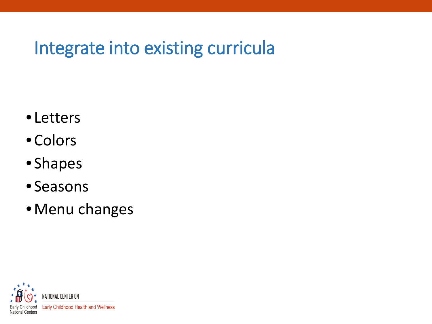#### Integrate into existing curricula

- Letters
- Colors
- Shapes
- Seasons
- •Menu changes

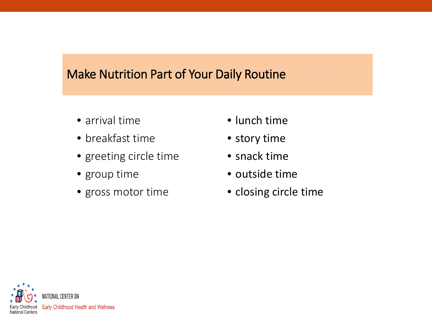#### Make Nutrition Part of Your Daily Routine

- arrival time
- breakfast time
- greeting circle time
- group time
- gross motor time
- lunch time
- story time
- snack time
- outside time
- closing circle time

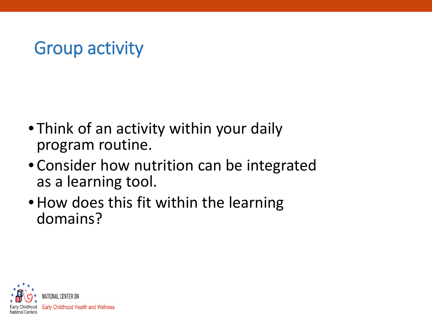#### Group activity

- Think of an activity within your daily program routine.
- Consider how nutrition can be integrated as a learning tool.
- How does this fit within the learning domains?

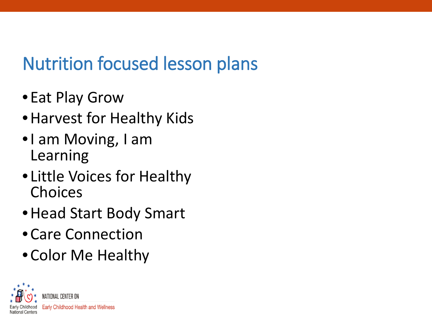#### Nutrition focused lesson plans

- Eat Play Grow
- •Harvest for Healthy Kids
- •I am Moving, I am Learning
- Little Voices for Healthy Choices
- •Head Start Body Smart
- Care Connection
- Color Me Healthy

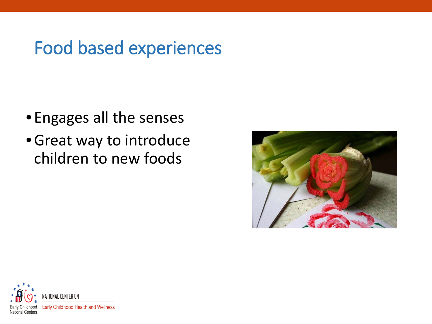#### Food based experiences

- Engages all the senses
- •Great way to introduce children to new foods



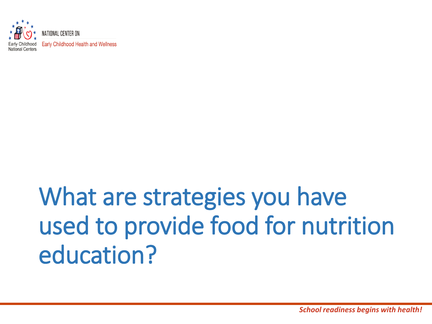

## What are strategies you have used to provide food for nutrition education?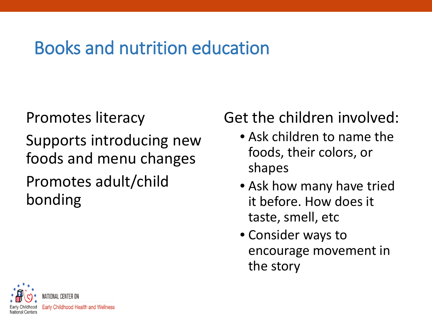#### Books and nutrition education

Promotes literacy Supports introducing new foods and menu changes

#### Promotes adult/child bonding

#### Get the children involved:

- Ask children to name the foods, their colors, or shapes
- Ask how many have tried it before. How does it taste, smell, etc
- Consider ways to encourage movement in the story

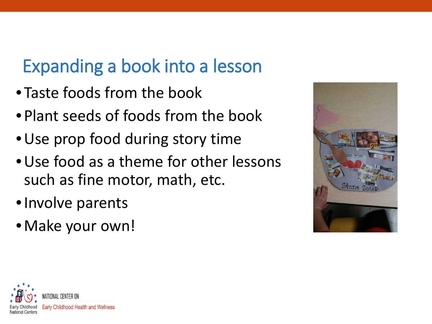#### Expanding a book into a lesson

- Taste foods from the book
- Plant seeds of foods from the book
- •Use prop food during story time
- •Use food as a theme for other lessons such as fine motor, math, etc.
- •Involve parents
- •Make your own!



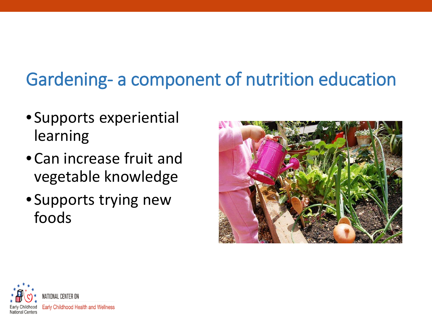### Gardening- a component of nutrition education

- Supports experiential learning
- Can increase fruit and vegetable knowledge
- Supports trying new foods



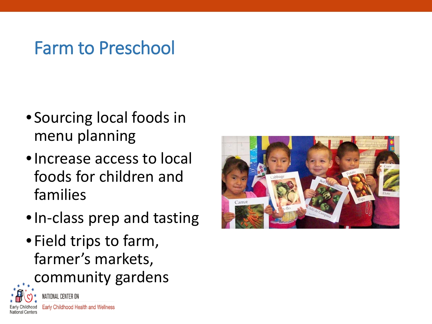#### Farm to Preschool

- Sourcing local foods in menu planning
- •Increase access to local foods for children and families
- •In-class prep and tasting
- Field trips to farm, farmer's markets, community gardens



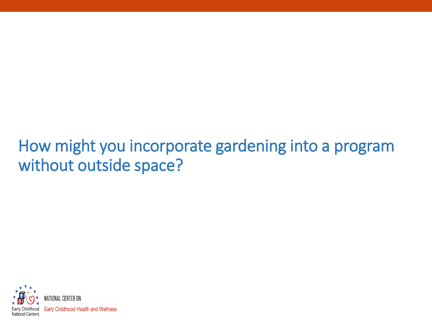#### How might you incorporate gardening into a program without outside space?

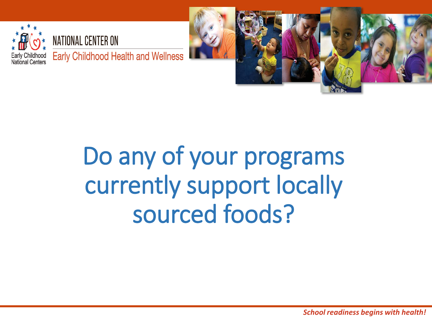



# Do any of your programs currently support locally sourced foods?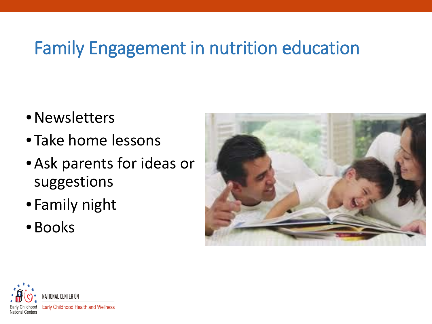#### Family Engagement in nutrition education

- •Newsletters
- Take home lessons
- •Ask parents for ideas or suggestions
- Family night
- •Books



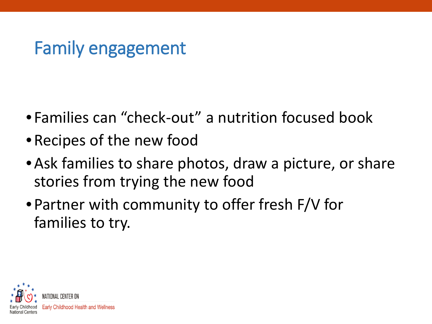#### Family engagement

- Families can "check-out" a nutrition focused book
- •Recipes of the new food
- Ask families to share photos, draw a picture, or share stories from trying the new food
- Partner with community to offer fresh F/V for families to try.

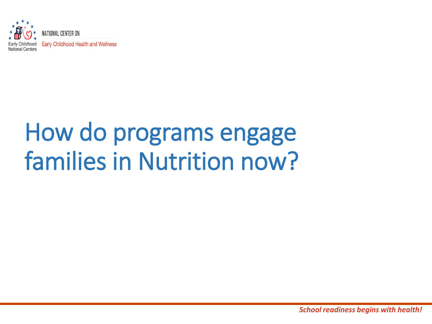

## How do programs engage families in Nutrition now?